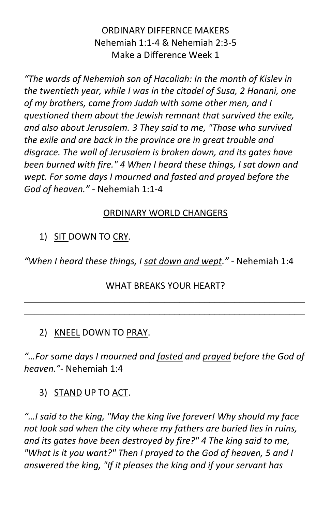# ORDINARY DIFFERNCE MAKERS Nehemiah 1:1-4 & Nehemiah 2:3-5 Make a Difference Week 1

*"The words of Nehemiah son of Hacaliah: In the month of Kislev in the twentieth year, while I was in the citadel of Susa, 2 Hanani, one of my brothers, came from Judah with some other men, and I questioned them about the Jewish remnant that survived the exile, and also about Jerusalem. 3 They said to me, "Those who survived the exile and are back in the province are in great trouble and disgrace. The wall of Jerusalem is broken down, and its gates have been burned with fire." 4 When I heard these things, I sat down and wept. For some days I mourned and fasted and prayed before the God of heaven." -* Nehemiah 1:1-4

# ORDINARY WORLD CHANGERS

# 1) SIT DOWN TO CRY.

*"When I heard these things, I sat down and wept." -* Nehemiah 1:4

#### WHAT BREAKS YOUR HEART?

## 2) KNEEL DOWN TO PRAY.

*"…For some days I mourned and fasted and prayed before the God of heaven."-* Nehemiah 1:4

## 3) STAND UP TO ACT.

*"…I said to the king, "May the king live forever! Why should my face not look sad when the city where my fathers are buried lies in ruins, and its gates have been destroyed by fire?" 4 The king said to me, "What is it you want?" Then I prayed to the God of heaven, 5 and I answered the king, "If it pleases the king and if your servant has*